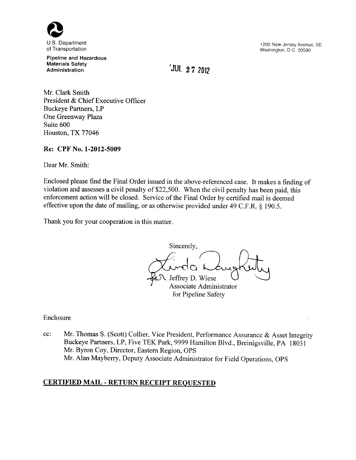

**Pipeline and Hazardous Materials Safety** Administration

1200 New Jersey Avenue, SE Washington, D.C. 20590

JUL 27 2012

Mr. Clark Smith President & Chief Executive Officer Buckeye Partners, LP One Greenway Plaza Suite 600 Houston, TX 77046

Re: CPF No. 1-2012-5009

Dear Mr. Smith:

Enclosed please find the Final Order issued in the above-referenced case. It makes a finding of violation and assesses a civil penalty of \$22,500. When the civil penalty has been paid, this enforcement action will be closed. Service of the Final Order by certified mail is deemed effective upon the date of mailing, or as otherwise provided under 49 C.F.R. § 190.5.

Thank you for your cooperation in this matter.

Sincerely,  $\Gamma_1$ Jeffrey D. Wiese **Associate Administrator** for Pipeline Safety

Enclosure

Mr. Thomas S. (Scott) Collier, Vice President, Performance Assurance & Asset Integrity  $cc$ : Buckeye Partners, LP, Five TEK Park, 9999 Hamilton Blvd., Breinigsville, PA 18031 Mr. Byron Coy, Director, Eastern Region, OPS Mr. Alan Mayberry, Deputy Associate Administrator for Field Operations, OPS

# **CERTIFIED MAIL - RETURN RECEIPT REQUESTED**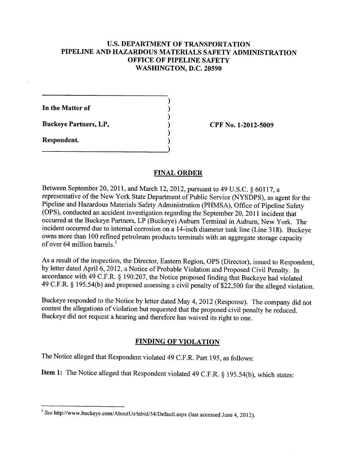### **U.S. DEPARTMENT OF TRANSPORTATION** PIPELINE AND HAZARDOUS MATERIALS SAFETY ADMINISTRATION **OFFICE OF PIPELINE SAFETY** WASHINGTON, D.C. 20590

In the Matter of

**Buckeye Partners, LP,** 

Respondent.

CPF No. 1-2012-5009

## **FINAL ORDER**

Between September 20, 2011, and March 12, 2012, pursuant to 49 U.S.C. § 60117, a representative of the New York State Department of Public Service (NYSDPS), as agent for the Pipeline and Hazardous Materials Safety Administration (PHMSA), Office of Pipeline Safety (OPS), conducted an accident investigation regarding the September 20, 2011 incident that occurred at the Buckeye Partners, LP (Buckeye) Auburn Terminal in Auburn, New York. The incident occurred due to internal corrosion on a 14-inch diameter tank line (Line 318). Buckeye owns more than 100 refined petroleum products terminals with an aggregate storage capacity of over 64 million barrels.<sup>1</sup>

As a result of the inspection, the Director, Eastern Region, OPS (Director), issued to Respondent, by letter dated April 6, 2012, a Notice of Probable Violation and Proposed Civil Penalty. In accordance with 49 C.F.R. § 190.207, the Notice proposed finding that Buckeye had violated 49 C.F.R. § 195.54(b) and proposed assessing a civil penalty of \$22,500 for the alleged violation.

Buckeye responded to the Notice by letter dated May 4, 2012 (Response). The company did not contest the allegations of violation but requested that the proposed civil penalty be reduced. Buckeye did not request a hearing and therefore has waived its right to one.

# **FINDING OF VIOLATION**

The Notice alleged that Respondent violated 49 C.F.R. Part 195, as follows:

Item 1: The Notice alleged that Respondent violated 49 C.F.R. § 195.54(b), which states:

 $^{1}$  See http://www.buckeye.com/AboutUs/tabid/54/Default.aspx (last accessed June 4, 2012).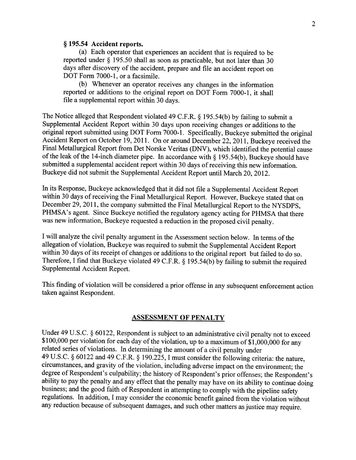#### § 195.54 Accident reports.

(a) Each operator that experiences an accident that is required to be reported under § 195.50 shall as soon as practicable, but not later than 30 days after discovery of the accident, prepare and file an accident report on DOT Form 7000-1, or a facsimile.

(b) Whenever an operator receives any changes in the information reported or additions to the original report on DOT Form 7000-1, it shall file a supplemental report within 30 days.

The Notice alleged that Respondent violated 49 C.F.R. § 195.54(b) by failing to submit a Supplemental Accident Report within 30 days upon receiving changes or additions to the original report submitted using DOT Form 7000-1. Specifically, Buckeye submitted the original Accident Report on October 19, 2011. On or around December 22, 2011, Buckeye received the Final Metallurgical Report from Det Norske Veritas (DNV), which identified the potential cause of the leak of the 14-inch diameter pipe. In accordance with § 195.54(b), Buckeye should have submitted a supplemental accident report within 30 days of receiving this new information. Buckeye did not submit the Supplemental Accident Report until March 20, 2012.

In its Response, Buckeye acknowledged that it did not file a Supplemental Accident Report within 30 days of receiving the Final Metallurgical Report. However, Buckeye stated that on December 29, 2011, the company submitted the Final Metallurgical Report to the NYSDPS, PHMSA's agent. Since Buckeye notified the regulatory agency acting for PHMSA that there was new information, Buckeye requested a reduction in the proposed civil penalty.

I will analyze the civil penalty argument in the Assessment section below. In terms of the allegation of violation, Buckeye was required to submit the Supplemental Accident Report within 30 days of its receipt of changes or additions to the original report but failed to do so. Therefore, I find that Buckeye violated 49 C.F.R. § 195.54(b) by failing to submit the required Supplemental Accident Report.

This finding of violation will be considered a prior offense in any subsequent enforcement action taken against Respondent.

#### **ASSESSMENT OF PENALTY**

Under 49 U.S.C. § 60122, Respondent is subject to an administrative civil penalty not to exceed \$100,000 per violation for each day of the violation, up to a maximum of \$1,000,000 for any related series of violations. In determining the amount of a civil penalty under 49 U.S.C. § 60122 and 49 C.F.R. § 190.225, I must consider the following criteria: the nature, circumstances, and gravity of the violation, including adverse impact on the environment; the degree of Respondent's culpability; the history of Respondent's prior offenses; the Respondent's ability to pay the penalty and any effect that the penalty may have on its ability to continue doing business; and the good faith of Respondent in attempting to comply with the pipeline safety regulations. In addition, I may consider the economic benefit gained from the violation without any reduction because of subsequent damages, and such other matters as justice may require.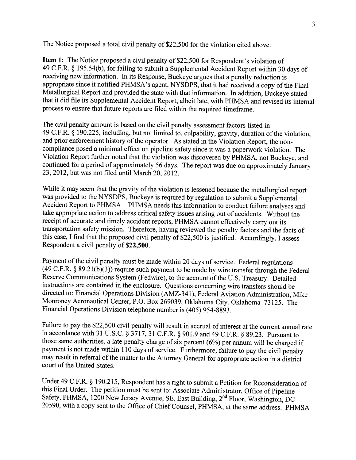The Notice proposed a total civil penalty of \$22,500 for the violation cited above.

Item 1: The Notice proposed a civil penalty of \$22,500 for Respondent's violation of 49 C.F.R. § 195.54(b), for failing to submit a Supplemental Accident Report within 30 days of receiving new information. In its Response, Buckeye argues that a penalty reduction is appropriate since it notified PHMSA's agent, NYSDPS, that it had received a copy of the Final Metallurgical Report and provided the state with that information. In addition, Buckeye stated that it did file its Supplemental Accident Report, albeit late, with PHMSA and revised its internal process to ensure that future reports are filed within the required timeframe.

The civil penalty amount is based on the civil penalty assessment factors listed in 49 C.F.R. § 190.225, including, but not limited to, culpability, gravity, duration of the violation, and prior enforcement history of the operator. As stated in the Violation Report, the noncompliance posed a minimal effect on pipeline safety since it was a paperwork violation. The Violation Report further noted that the violation was discovered by PHMSA, not Buckeye, and continued for a period of approximately 56 days. The report was due on approximately January 23, 2012, but was not filed until March 20, 2012.

While it may seem that the gravity of the violation is lessened because the metallurgical report was provided to the NYSDPS, Buckeye is required by regulation to submit a Supplemental Accident Report to PHMSA. PHMSA needs this information to conduct failure analyses and take appropriate action to address critical safety issues arising out of accidents. Without the receipt of accurate and timely accident reports, PHMSA cannot effectively carry out its transportation safety mission. Therefore, having reviewed the penalty factors and the facts of this case, I find that the proposed civil penalty of \$22,500 is justified. Accordingly, I assess Respondent a civil penalty of \$22,500.

Payment of the civil penalty must be made within 20 days of service. Federal regulations  $(49 \text{ C.F.R. }$  § 89.21(b)(3)) require such payment to be made by wire transfer through the Federal Reserve Communications System (Fedwire), to the account of the U.S. Treasury. Detailed instructions are contained in the enclosure. Questions concerning wire transfers should be directed to: Financial Operations Division (AMZ-341), Federal Aviation Administration, Mike Monroney Aeronautical Center, P.O. Box 269039, Oklahoma City, Oklahoma 73125. The Financial Operations Division telephone number is (405) 954-8893.

Failure to pay the \$22,500 civil penalty will result in accrual of interest at the current annual rate in accordance with 31 U.S.C. § 3717, 31 C.F.R. § 901.9 and 49 C.F.R. § 89.23. Pursuant to those same authorities, a late penalty charge of six percent (6%) per annum will be charged if payment is not made within 110 days of service. Furthermore, failure to pay the civil penalty may result in referral of the matter to the Attorney General for appropriate action in a district court of the United States.

Under 49 C.F.R. § 190.215, Respondent has a right to submit a Petition for Reconsideration of this Final Order. The petition must be sent to: Associate Administrator, Office of Pipeline Safety, PHMSA, 1200 New Jersey Avenue, SE, East Building, 2<sup>nd</sup> Floor, Washington, DC 20590, with a copy sent to the Office of Chief Counsel, PHMSA, at the same address. PHMSA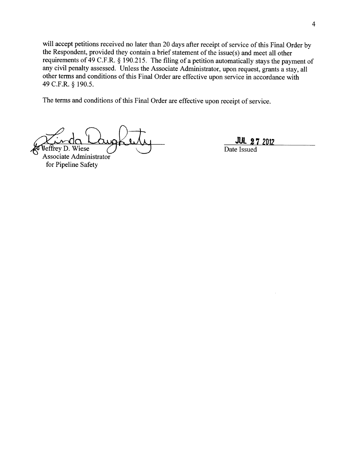will accept petitions received no later than 20 days after receipt of service of this Final Order by the Respondent, provided they contain a brief statement of the issue(s) and meet all other requirements of 49 C.F.R. § 190.215. The filing of a petition automatically stays the payment of any civil penalty assessed. Unless the Associate Administrator, upon request, grants a stay, all other terms and conditions of this Final Order are effective upon service in accordance with 49 C.F.R. § 190.5.

The terms and conditions of this Final Order are effective upon receipt of service.

**Jeffrey D. Wiese** Associate Administrator

for Pipeline Safety

**JUL 27 2012** Date Issued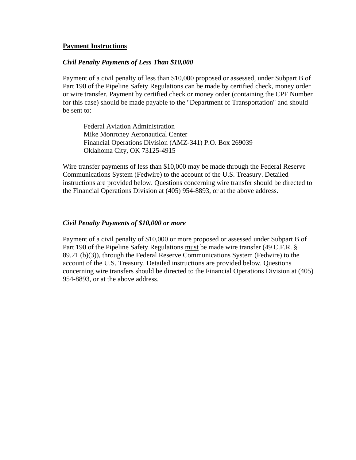#### **Payment Instructions**

#### *Civil Penalty Payments of Less Than \$10,000*

Payment of a civil penalty of less than \$10,000 proposed or assessed, under Subpart B of Part 190 of the Pipeline Safety Regulations can be made by certified check, money order or wire transfer. Payment by certified check or money order (containing the CPF Number for this case) should be made payable to the "Department of Transportation" and should be sent to:

Federal Aviation Administration Mike Monroney Aeronautical Center Financial Operations Division (AMZ-341) P.O. Box 269039 Oklahoma City, OK 73125-4915

Wire transfer payments of less than \$10,000 may be made through the Federal Reserve Communications System (Fedwire) to the account of the U.S. Treasury. Detailed instructions are provided below. Questions concerning wire transfer should be directed to the Financial Operations Division at (405) 954-8893, or at the above address.

#### *Civil Penalty Payments of \$10,000 or more*

Payment of a civil penalty of \$10,000 or more proposed or assessed under Subpart B of Part 190 of the Pipeline Safety Regulations must be made wire transfer (49 C.F.R. § 89.21 (b)(3)), through the Federal Reserve Communications System (Fedwire) to the account of the U.S. Treasury. Detailed instructions are provided below. Questions concerning wire transfers should be directed to the Financial Operations Division at (405) 954-8893, or at the above address.